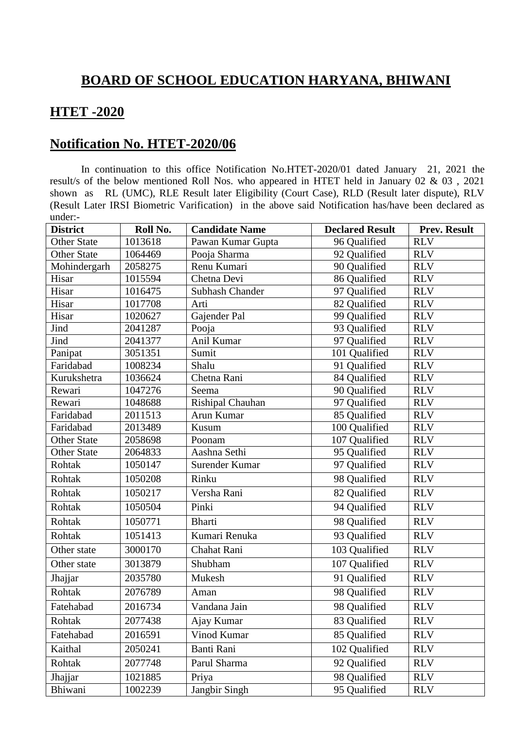## **BOARD OF SCHOOL EDUCATION HARYANA, BHIWANI**

## **HTET -2020**

## **Notification No. HTET-2020/06**

In continuation to this office Notification No.HTET-2020/01 dated January 21, 2021 the result/s of the below mentioned Roll Nos. who appeared in HTET held in January 02 & 03 , 2021 shown as RL (UMC), RLE Result later Eligibility (Court Case), RLD (Result later dispute), RLV (Result Later IRSI Biometric Varification) in the above said Notification has/have been declared as under:-

| <b>District</b>    | Roll No. | <b>Candidate Name</b> | <b>Declared Result</b> | <b>Prev. Result</b> |
|--------------------|----------|-----------------------|------------------------|---------------------|
| <b>Other State</b> | 1013618  | Pawan Kumar Gupta     | 96 Qualified           | <b>RLV</b>          |
| <b>Other State</b> | 1064469  | Pooja Sharma          | 92 Qualified           | <b>RLV</b>          |
| Mohindergarh       | 2058275  | Renu Kumari           | 90 Qualified           | <b>RLV</b>          |
| Hisar              | 1015594  | Chetna Devi           | 86 Qualified           | <b>RLV</b>          |
| Hisar              | 1016475  | Subhash Chander       | 97 Qualified           | <b>RLV</b>          |
| Hisar              | 1017708  | Arti                  | 82 Qualified           | <b>RLV</b>          |
| Hisar              | 1020627  | Gajender Pal          | 99 Qualified           | <b>RLV</b>          |
| Jind               | 2041287  | Pooja                 | 93 Oualified           | <b>RLV</b>          |
| Jind               | 2041377  | Anil Kumar            | 97 Qualified           | <b>RLV</b>          |
| Panipat            | 3051351  | Sumit                 | 101 Qualified          | <b>RLV</b>          |
| Faridabad          | 1008234  | Shalu                 | 91 Qualified           | <b>RLV</b>          |
| Kurukshetra        | 1036624  | Chetna Rani           | 84 Qualified           | <b>RLV</b>          |
| Rewari             | 1047276  | Seema                 | 90 Qualified           | <b>RLV</b>          |
| Rewari             | 1048688  | Rishipal Chauhan      | 97 Qualified           | <b>RLV</b>          |
| Faridabad          | 2011513  | Arun Kumar            | 85 Qualified           | <b>RLV</b>          |
| Faridabad          | 2013489  | Kusum                 | 100 Qualified          | <b>RLV</b>          |
| <b>Other State</b> | 2058698  | Poonam                | 107 Qualified          | <b>RLV</b>          |
| <b>Other State</b> | 2064833  | Aashna Sethi          | 95 Qualified           | <b>RLV</b>          |
| Rohtak             | 1050147  | Surender Kumar        | 97 Qualified           | <b>RLV</b>          |
| Rohtak             | 1050208  | Rinku                 | 98 Qualified           | <b>RLV</b>          |
| Rohtak             | 1050217  | Versha Rani           | 82 Qualified           | <b>RLV</b>          |
| Rohtak             | 1050504  | Pinki                 | 94 Qualified           | <b>RLV</b>          |
| Rohtak             | 1050771  | <b>Bharti</b>         | 98 Qualified           | <b>RLV</b>          |
| Rohtak             | 1051413  | Kumari Renuka         | 93 Qualified           | <b>RLV</b>          |
| Other state        | 3000170  | Chahat Rani           | 103 Qualified          | <b>RLV</b>          |
| Other state        | 3013879  | Shubham               | 107 Qualified          | <b>RLV</b>          |
| Jhajjar            | 2035780  | Mukesh                | 91 Qualified           | <b>RLV</b>          |
| Rohtak             | 2076789  | Aman                  | 98 Qualified           | <b>RLV</b>          |
| Fatehabad          | 2016734  | Vandana Jain          | 98 Qualified           | <b>RLV</b>          |
| Rohtak             | 2077438  | Ajay Kumar            | 83 Qualified           | <b>RLV</b>          |
| Fatehabad          | 2016591  | Vinod Kumar           | 85 Qualified           | <b>RLV</b>          |
| Kaithal            | 2050241  | Banti Rani            | 102 Qualified          | <b>RLV</b>          |
| Rohtak             | 2077748  | Parul Sharma          | 92 Qualified           | <b>RLV</b>          |
| Jhajjar            | 1021885  | Priya                 | 98 Qualified           | <b>RLV</b>          |
| Bhiwani            | 1002239  | Jangbir Singh         | 95 Qualified           | <b>RLV</b>          |